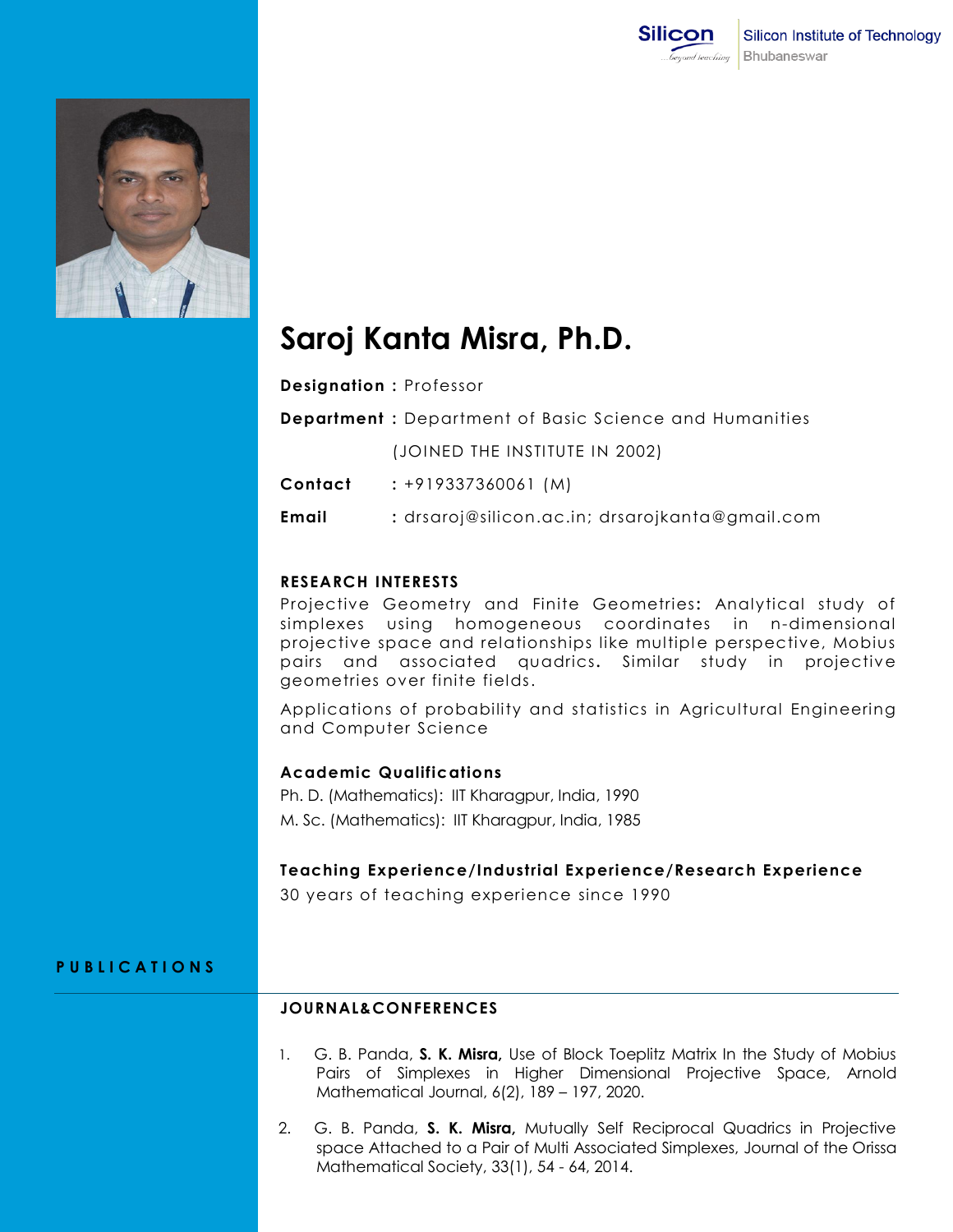

# **Saroj Kanta Misra, Ph.D.**

**Designation :** Professor

**Department :** Department of Basic Science and Humanities

(JOINED THE INSTITUTE IN 2002)

**Contact :** +919337360061 (M)

**Email :** drsaroj@silicon.ac.in; drsarojkanta@gmail.com

# **RESEARCH INTERESTS**

Projective Geometry and Finite Geometries**:** Analytical study of simplexes using homogeneous coordinates in n-dimensional projective space and relationships like multiple perspective, Mobius pairs and associated quadrics**.** Similar study in projective geometries over finite fields.

Applications of probability and statistics in Agricultural Engineering and Computer Science

## **Academic Qualifications**

Ph. D. (Mathematics): IIT Kharagpur, India, 1990 M. Sc. (Mathematics): IIT Kharagpur, India, 1985

## **Teaching Experience/Industrial Experience/Research Experience**

30 years of teaching experience since 1990

# **P U B L I C A T I O N S**

## **JOURNAL&CONFERENCES**

- 1. G. B. Panda, **S. K. Misra,** Use of Block Toeplitz Matrix In the Study of Mobius Pairs of Simplexes in Higher Dimensional Projective Space, Arnold Mathematical Journal, 6(2), 189 – 197, 2020.
- 2. G. B. Panda, **S. K. Misra,** Mutually Self Reciprocal Quadrics in Projective space Attached to a Pair of Multi Associated Simplexes, Journal of the Orissa Mathematical Society, 33(1), 54 - 64, 2014.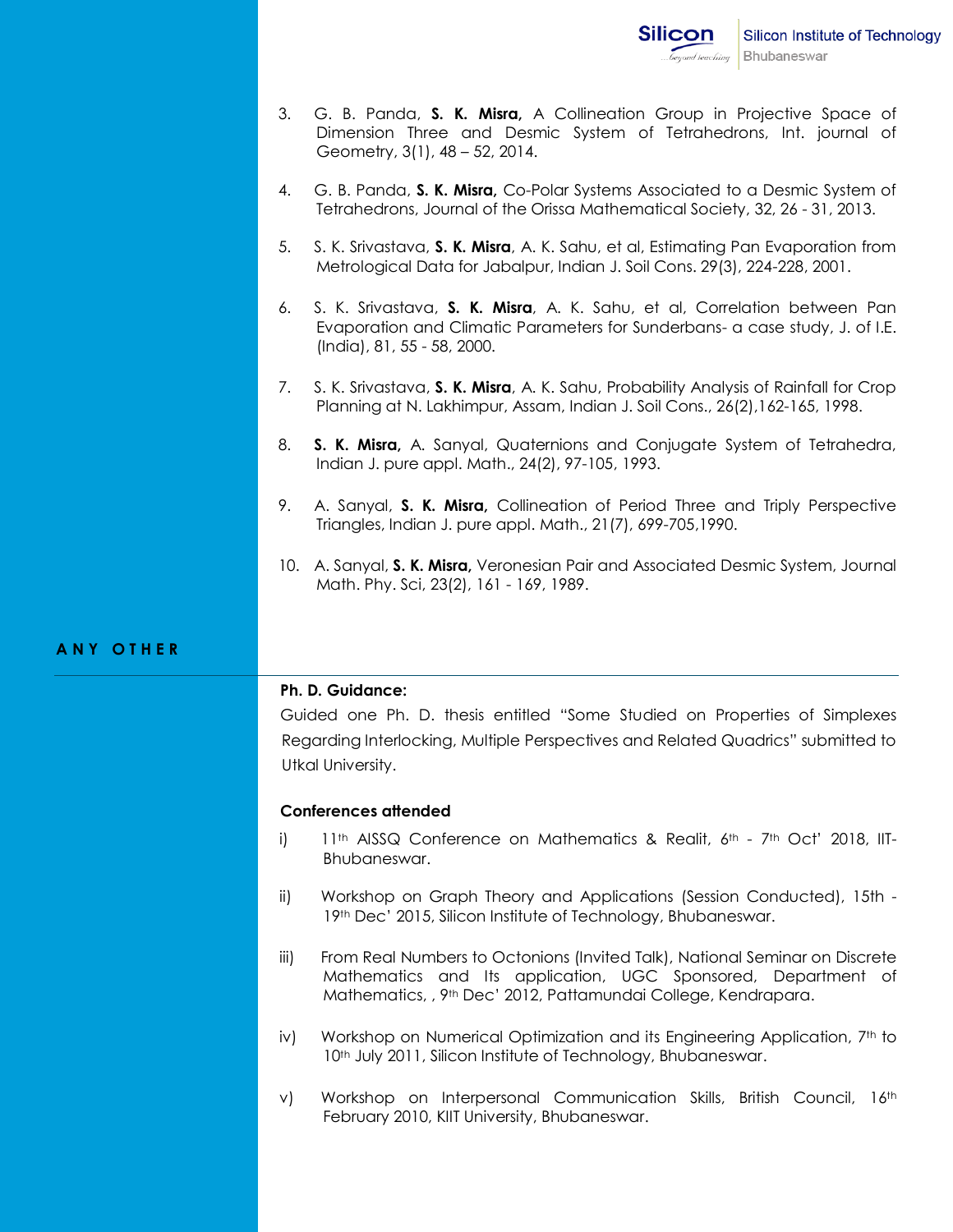- 3. G. B. Panda, **S. K. Misra,** A Collineation Group in Projective Space of Dimension Three and Desmic System of Tetrahedrons, Int. journal of Geometry, 3(1), 48 – 52, 2014.
- 4. G. B. Panda, **S. K. Misra,** Co-Polar Systems Associated to a Desmic System of Tetrahedrons, Journal of the Orissa Mathematical Society, 32, 26 - 31, 2013.
- 5. S. K. Srivastava, **S. K. Misra**, A. K. Sahu, et al, Estimating Pan Evaporation from Metrological Data for Jabalpur, Indian J. Soil Cons. 29(3), 224-228, 2001.
- 6. S. K. Srivastava, **S. K. Misra**, A. K. Sahu, et al, Correlation between Pan Evaporation and Climatic Parameters for Sunderbans- a case study, J. of I.E. (India), 81, 55 - 58, 2000.
- 7. S. K. Srivastava, **S. K. Misra**, A. K. Sahu, Probability Analysis of Rainfall for Crop Planning at N. Lakhimpur, Assam, Indian J. Soil Cons., 26(2),162-165, 1998.
- 8. **S. K. Misra,** A. Sanyal, Quaternions and Conjugate System of Tetrahedra, Indian J. pure appl. Math., 24(2), 97-105, 1993.
- 9. A. Sanyal, **S. K. Misra,** Collineation of Period Three and Triply Perspective Triangles, Indian J. pure appl. Math., 21(7), 699-705,1990.
- 10. A. Sanyal, **S. K. Misra,** Veronesian Pair and Associated Desmic System, Journal Math. Phy. Sci, 23(2), 161 - 169, 1989.

## **A N Y O T H E R**

### **Ph. D. Guidance:**

Guided one Ph. D. thesis entitled "Some Studied on Properties of Simplexes Regarding Interlocking, Multiple Perspectives and Related Quadrics" submitted to Utkal University.

### **Conferences attended**

- i)  $11<sup>th</sup>$  AISSQ Conference on Mathematics & Realit,  $6<sup>th</sup>$  7<sup>th</sup> Oct<sup>'</sup> 2018, IIT-Bhubaneswar.
- ii) Workshop on Graph Theory and Applications (Session Conducted), 15th 19th Dec' 2015, Silicon Institute of Technology, Bhubaneswar.
- iii) From Real Numbers to Octonions (Invited Talk), National Seminar on Discrete Mathematics and Its application, UGC Sponsored, Department of Mathematics, , 9th Dec' 2012, Pattamundai College, Kendrapara.
- iv) Workshop on Numerical Optimization and its Engineering Application, 7<sup>th</sup> to 10<sup>th</sup> July 2011, Silicon Institute of Technology, Bhubaneswar.
- v) Workshop on Interpersonal Communication Skills, British Council, 16th February 2010, KIIT University, Bhubaneswar.